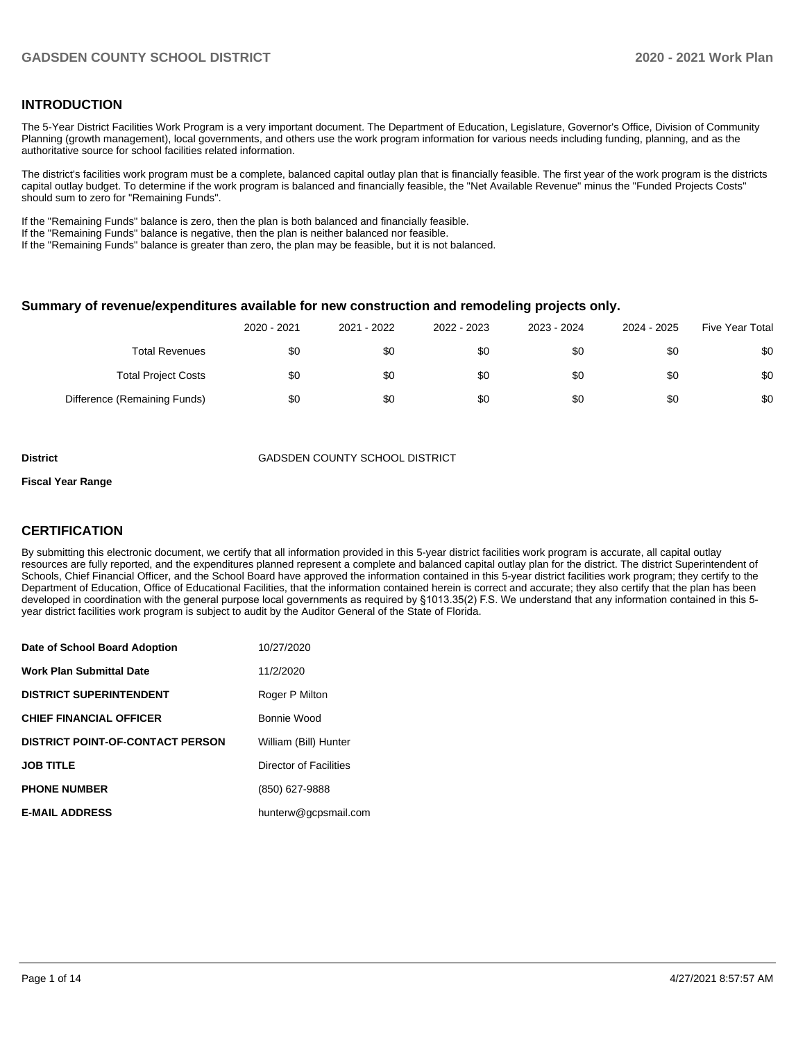#### **INTRODUCTION**

The 5-Year District Facilities Work Program is a very important document. The Department of Education, Legislature, Governor's Office, Division of Community Planning (growth management), local governments, and others use the work program information for various needs including funding, planning, and as the authoritative source for school facilities related information.

The district's facilities work program must be a complete, balanced capital outlay plan that is financially feasible. The first year of the work program is the districts capital outlay budget. To determine if the work program is balanced and financially feasible, the "Net Available Revenue" minus the "Funded Projects Costs" should sum to zero for "Remaining Funds".

If the "Remaining Funds" balance is zero, then the plan is both balanced and financially feasible.

If the "Remaining Funds" balance is negative, then the plan is neither balanced nor feasible.

If the "Remaining Funds" balance is greater than zero, the plan may be feasible, but it is not balanced.

#### **Summary of revenue/expenditures available for new construction and remodeling projects only.**

| <b>Five Year Total</b> | 2024 - 2025 | 2023 - 2024 | 2022 - 2023 | 2021 - 2022 | 2020 - 2021 |                              |
|------------------------|-------------|-------------|-------------|-------------|-------------|------------------------------|
| \$0                    | \$0         | \$0         | \$0         | \$0         | \$0         | <b>Total Revenues</b>        |
| \$0                    | \$0         | \$0         | \$0         | \$0         | \$0         | <b>Total Project Costs</b>   |
| \$0                    | \$0         | \$0         | \$0         | \$0         | \$0         | Difference (Remaining Funds) |

**District** GADSDEN COUNTY SCHOOL DISTRICT

#### **Fiscal Year Range**

#### **CERTIFICATION**

By submitting this electronic document, we certify that all information provided in this 5-year district facilities work program is accurate, all capital outlay resources are fully reported, and the expenditures planned represent a complete and balanced capital outlay plan for the district. The district Superintendent of Schools, Chief Financial Officer, and the School Board have approved the information contained in this 5-year district facilities work program; they certify to the Department of Education, Office of Educational Facilities, that the information contained herein is correct and accurate; they also certify that the plan has been developed in coordination with the general purpose local governments as required by §1013.35(2) F.S. We understand that any information contained in this 5 year district facilities work program is subject to audit by the Auditor General of the State of Florida.

| Date of School Board Adoption           | 10/27/2020             |
|-----------------------------------------|------------------------|
| Work Plan Submittal Date                | 11/2/2020              |
| <b>DISTRICT SUPERINTENDENT</b>          | Roger P Milton         |
| <b>CHIEF FINANCIAL OFFICER</b>          | Bonnie Wood            |
| <b>DISTRICT POINT-OF-CONTACT PERSON</b> | William (Bill) Hunter  |
| <b>JOB TITLE</b>                        | Director of Facilities |
| <b>PHONE NUMBER</b>                     | (850) 627-9888         |
| <b>E-MAIL ADDRESS</b>                   | hunterw@gcpsmail.com   |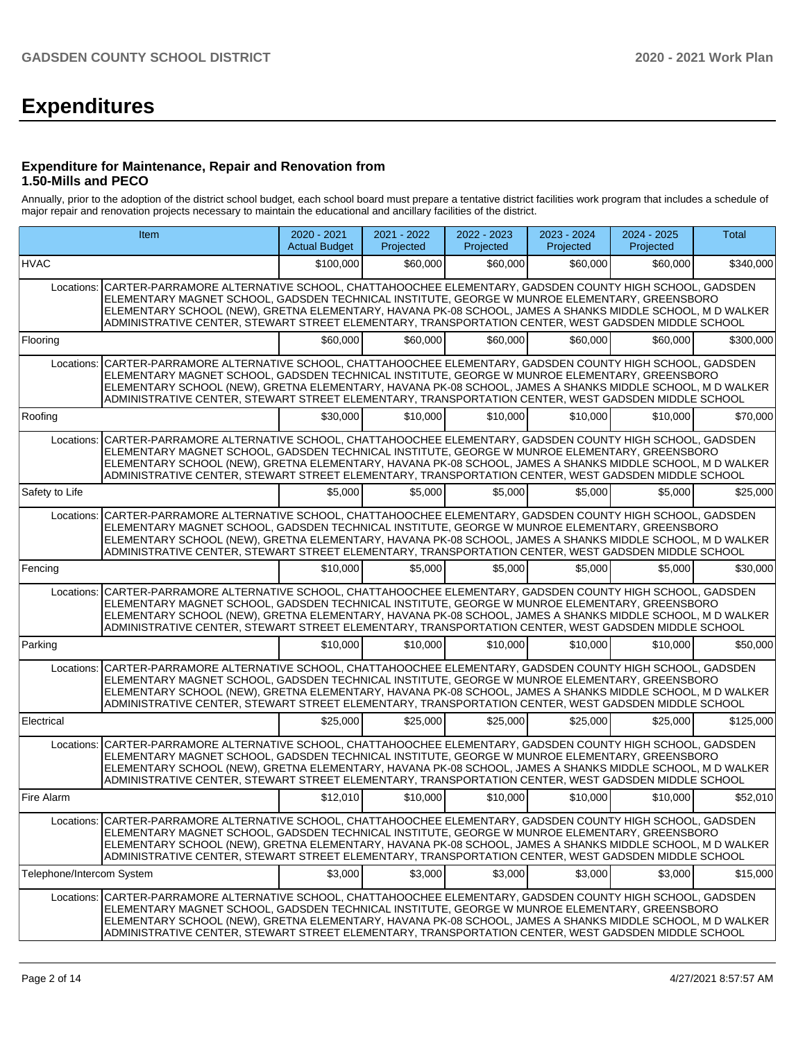# **Expenditures**

#### **Expenditure for Maintenance, Repair and Renovation from 1.50-Mills and PECO**

Annually, prior to the adoption of the district school budget, each school board must prepare a tentative district facilities work program that includes a schedule of major repair and renovation projects necessary to maintain the educational and ancillary facilities of the district.

|                           | Item                                                                                                                                                                                                                                                                                                                                                                                                                                 | $2020 - 2021$<br><b>Actual Budget</b> | 2021 - 2022<br>Projected | 2022 - 2023<br>Projected | 2023 - 2024<br>Projected | $2024 - 2025$<br>Projected | Total     |  |  |  |  |  |  |
|---------------------------|--------------------------------------------------------------------------------------------------------------------------------------------------------------------------------------------------------------------------------------------------------------------------------------------------------------------------------------------------------------------------------------------------------------------------------------|---------------------------------------|--------------------------|--------------------------|--------------------------|----------------------------|-----------|--|--|--|--|--|--|
| <b>HVAC</b>               |                                                                                                                                                                                                                                                                                                                                                                                                                                      | \$100,000                             | \$60,000                 | \$60,000                 | \$60,000                 | \$60,000                   | \$340,000 |  |  |  |  |  |  |
|                           | Locations: CARTER-PARRAMORE ALTERNATIVE SCHOOL, CHATTAHOOCHEE ELEMENTARY, GADSDEN COUNTY HIGH SCHOOL, GADSDEN<br>ELEMENTARY MAGNET SCHOOL, GADSDEN TECHNICAL INSTITUTE, GEORGE W MUNROE ELEMENTARY, GREENSBORO<br>ELEMENTARY SCHOOL (NEW), GRETNA ELEMENTARY, HAVANA PK-08 SCHOOL, JAMES A SHANKS MIDDLE SCHOOL, M D WALKER<br>ADMINISTRATIVE CENTER, STEWART STREET ELEMENTARY, TRANSPORTATION CENTER, WEST GADSDEN MIDDLE SCHOOL   |                                       |                          |                          |                          |                            |           |  |  |  |  |  |  |
| Flooring                  |                                                                                                                                                                                                                                                                                                                                                                                                                                      | \$60,000                              | \$60,000                 | \$60,000                 | \$60,000                 | \$60,000                   | \$300,000 |  |  |  |  |  |  |
| Locations:                | CARTER-PARRAMORE ALTERNATIVE SCHOOL, CHATTAHOOCHEE ELEMENTARY, GADSDEN COUNTY HIGH SCHOOL, GADSDEN<br>ELEMENTARY MAGNET SCHOOL, GADSDEN TECHNICAL INSTITUTE, GEORGE W MUNROE ELEMENTARY, GREENSBORO<br>ELEMENTARY SCHOOL (NEW), GRETNA ELEMENTARY, HAVANA PK-08 SCHOOL, JAMES A SHANKS MIDDLE SCHOOL, M D WALKER<br>ADMINISTRATIVE CENTER, STEWART STREET ELEMENTARY, TRANSPORTATION CENTER, WEST GADSDEN MIDDLE SCHOOL              |                                       |                          |                          |                          |                            |           |  |  |  |  |  |  |
| Roofing                   |                                                                                                                                                                                                                                                                                                                                                                                                                                      | \$30,000                              | \$10,000                 | \$10,000                 | \$10,000                 | \$10,000                   | \$70,000  |  |  |  |  |  |  |
|                           | Locations: CARTER-PARRAMORE ALTERNATIVE SCHOOL, CHATTAHOOCHEE ELEMENTARY, GADSDEN COUNTY HIGH SCHOOL, GADSDEN<br>ELEMENTARY MAGNET SCHOOL, GADSDEN TECHNICAL INSTITUTE, GEORGE W MUNROE ELEMENTARY, GREENSBORO<br>ELEMENTARY SCHOOL (NEW), GRETNA ELEMENTARY, HAVANA PK-08 SCHOOL, JAMES A SHANKS MIDDLE SCHOOL, M D WALKER<br>ADMINISTRATIVE CENTER, STEWART STREET ELEMENTARY, TRANSPORTATION CENTER, WEST GADSDEN MIDDLE SCHOOL   |                                       |                          |                          |                          |                            |           |  |  |  |  |  |  |
| Safety to Life            |                                                                                                                                                                                                                                                                                                                                                                                                                                      | \$5,000                               | \$5,000                  | \$5,000                  | \$5,000                  | \$5,000                    | \$25,000  |  |  |  |  |  |  |
|                           | Locations: CARTER-PARRAMORE ALTERNATIVE SCHOOL, CHATTAHOOCHEE ELEMENTARY, GADSDEN COUNTY HIGH SCHOOL, GADSDEN<br>ELEMENTARY MAGNET SCHOOL, GADSDEN TECHNICAL INSTITUTE, GEORGE W MUNROE ELEMENTARY, GREENSBORO<br>ELEMENTARY SCHOOL (NEW), GRETNA ELEMENTARY, HAVANA PK-08 SCHOOL, JAMES A SHANKS MIDDLE SCHOOL, M D WALKER<br>ADMINISTRATIVE CENTER, STEWART STREET ELEMENTARY, TRANSPORTATION CENTER, WEST GADSDEN MIDDLE SCHOOL   |                                       |                          |                          |                          |                            |           |  |  |  |  |  |  |
| Fencing                   |                                                                                                                                                                                                                                                                                                                                                                                                                                      | \$10,000                              | \$5,000                  | \$5,000                  | \$5,000                  | \$5,000                    | \$30,000  |  |  |  |  |  |  |
| Locations:                | CARTER-PARRAMORE ALTERNATIVE SCHOOL, CHATTAHOOCHEE ELEMENTARY, GADSDEN COUNTY HIGH SCHOOL, GADSDEN<br>ELEMENTARY MAGNET SCHOOL, GADSDEN TECHNICAL INSTITUTE, GEORGE W MUNROE ELEMENTARY, GREENSBORO<br>ELEMENTARY SCHOOL (NEW), GRETNA ELEMENTARY, HAVANA PK-08 SCHOOL, JAMES A SHANKS MIDDLE SCHOOL, M D WALKER<br>ADMINISTRATIVE CENTER, STEWART STREET ELEMENTARY, TRANSPORTATION CENTER, WEST GADSDEN MIDDLE SCHOOL              |                                       |                          |                          |                          |                            |           |  |  |  |  |  |  |
| Parking                   |                                                                                                                                                                                                                                                                                                                                                                                                                                      | \$10,000                              | \$10,000                 | \$10,000                 | \$10,000                 | \$10,000                   | \$50,000  |  |  |  |  |  |  |
|                           | Locations: CARTER-PARRAMORE ALTERNATIVE SCHOOL, CHATTAHOOCHEE ELEMENTARY, GADSDEN COUNTY HIGH SCHOOL, GADSDEN<br>ELEMENTARY MAGNET SCHOOL, GADSDEN TECHNICAL INSTITUTE, GEORGE W MUNROE ELEMENTARY, GREENSBORO<br>IELEMENTARY SCHOOL (NEW), GRETNA ELEMENTARY, HAVANA PK-08 SCHOOL, JAMES A SHANKS MIDDLE SCHOOL, M D WALKER<br>ADMINISTRATIVE CENTER, STEWART STREET ELEMENTARY, TRANSPORTATION CENTER, WEST GADSDEN MIDDLE SCHOOL  |                                       |                          |                          |                          |                            |           |  |  |  |  |  |  |
| Electrical                |                                                                                                                                                                                                                                                                                                                                                                                                                                      | \$25,000                              | \$25,000                 | \$25,000                 | \$25,000                 | \$25,000                   | \$125,000 |  |  |  |  |  |  |
|                           | Locations: CARTER-PARRAMORE ALTERNATIVE SCHOOL, CHATTAHOOCHEE ELEMENTARY, GADSDEN COUNTY HIGH SCHOOL, GADSDEN<br>ELEMENTARY MAGNET SCHOOL. GADSDEN TECHNICAL INSTITUTE. GEORGE W MUNROE ELEMENTARY. GREENSBORO<br>ELEMENTARY SCHOOL (NEW), GRETNA ELEMENTARY, HAVANA PK-08 SCHOOL, JAMES A SHANKS MIDDLE SCHOOL, M D WALKER<br>ADMINISTRATIVE CENTER, STEWART STREET ELEMENTARY, TRANSPORTATION CENTER, WEST GADSDEN MIDDLE SCHOOL   |                                       |                          |                          |                          |                            |           |  |  |  |  |  |  |
| Fire Alarm                |                                                                                                                                                                                                                                                                                                                                                                                                                                      | \$12,010                              | \$10,000                 | \$10,000                 | \$10,000                 | \$10,000                   | \$52,010  |  |  |  |  |  |  |
|                           | Locations: CARTER-PARRAMORE ALTERNATIVE SCHOOL, CHATTAHOOCHEE ELEMENTARY, GADSDEN COUNTY HIGH SCHOOL, GADSDEN<br>ELEMENTARY MAGNET SCHOOL, GADSDEN TECHNICAL INSTITUTE, GEORGE W MUNROE ELEMENTARY, GREENSBORO<br>ELEMENTARY SCHOOL (NEW), GRETNA ELEMENTARY, HAVANA PK-08 SCHOOL, JAMES A SHANKS MIDDLE SCHOOL, M D WALKER<br>ADMINISTRATIVE CENTER, STEWART STREET ELEMENTARY, TRANSPORTATION CENTER, WEST GADSDEN MIDDLE SCHOOL   |                                       |                          |                          |                          |                            |           |  |  |  |  |  |  |
| Telephone/Intercom System |                                                                                                                                                                                                                                                                                                                                                                                                                                      | \$3,000                               | \$3.000                  | \$3,000                  | \$3,000                  | \$3,000                    | \$15,000  |  |  |  |  |  |  |
|                           | Locations:   CARTER-PARRAMORE ALTERNATIVE SCHOOL, CHATTAHOOCHEE ELEMENTARY, GADSDEN COUNTY HIGH SCHOOL, GADSDEN<br>ELEMENTARY MAGNET SCHOOL, GADSDEN TECHNICAL INSTITUTE, GEORGE W MUNROE ELEMENTARY, GREENSBORO<br>ELEMENTARY SCHOOL (NEW), GRETNA ELEMENTARY, HAVANA PK-08 SCHOOL, JAMES A SHANKS MIDDLE SCHOOL, M D WALKER<br>ADMINISTRATIVE CENTER, STEWART STREET ELEMENTARY, TRANSPORTATION CENTER, WEST GADSDEN MIDDLE SCHOOL |                                       |                          |                          |                          |                            |           |  |  |  |  |  |  |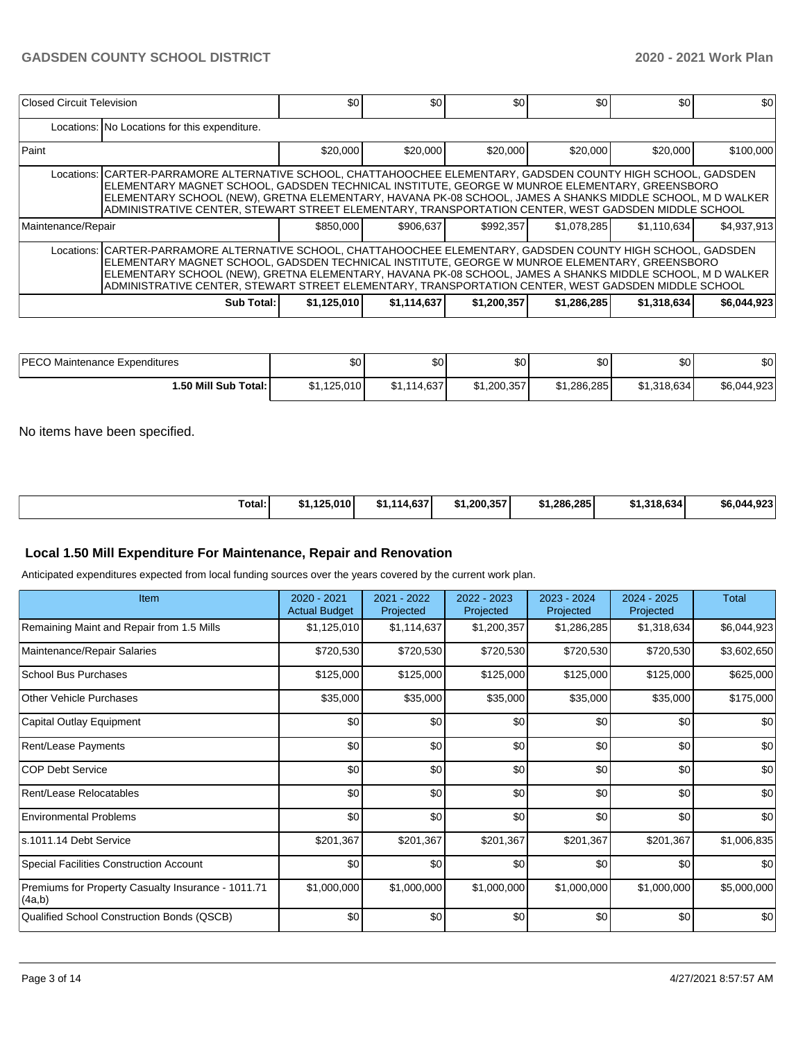| Closed Circuit Television |                                                                                                                                                                                                                                                                                                                                                                                                                                    | \$0 <sub>1</sub> | \$0         | \$0         | \$0         | \$0         | \$0         |  |  |  |  |  |
|---------------------------|------------------------------------------------------------------------------------------------------------------------------------------------------------------------------------------------------------------------------------------------------------------------------------------------------------------------------------------------------------------------------------------------------------------------------------|------------------|-------------|-------------|-------------|-------------|-------------|--|--|--|--|--|
|                           | Locations: No Locations for this expenditure.                                                                                                                                                                                                                                                                                                                                                                                      |                  |             |             |             |             |             |  |  |  |  |  |
| Paint                     |                                                                                                                                                                                                                                                                                                                                                                                                                                    | \$20,000         | \$20,000    | \$20,000    | \$20,000    | \$20,000    | \$100,000   |  |  |  |  |  |
|                           | Locations: CARTER-PARRAMORE ALTERNATIVE SCHOOL, CHATTAHOOCHEE ELEMENTARY, GADSDEN COUNTY HIGH SCHOOL, GADSDEN<br>ELEMENTARY MAGNET SCHOOL, GADSDEN TECHNICAL INSTITUTE, GEORGE W MUNROE ELEMENTARY, GREENSBORO<br>ELEMENTARY SCHOOL (NEW), GRETNA ELEMENTARY, HAVANA PK-08 SCHOOL, JAMES A SHANKS MIDDLE SCHOOL, M D WALKER<br>ADMINISTRATIVE CENTER, STEWART STREET ELEMENTARY, TRANSPORTATION CENTER, WEST GADSDEN MIDDLE SCHOOL |                  |             |             |             |             |             |  |  |  |  |  |
| Maintenance/Repair        |                                                                                                                                                                                                                                                                                                                                                                                                                                    | \$850,000        | \$906.637   | \$992,357   | \$1.078.285 | \$1,110,634 | \$4,937,913 |  |  |  |  |  |
|                           | Locations: CARTER-PARRAMORE ALTERNATIVE SCHOOL, CHATTAHOOCHEE ELEMENTARY, GADSDEN COUNTY HIGH SCHOOL, GADSDEN<br>ELEMENTARY MAGNET SCHOOL, GADSDEN TECHNICAL INSTITUTE, GEORGE W MUNROE ELEMENTARY, GREENSBORO<br>ELEMENTARY SCHOOL (NEW), GRETNA ELEMENTARY, HAVANA PK-08 SCHOOL, JAMES A SHANKS MIDDLE SCHOOL, M D WALKER<br>ADMINISTRATIVE CENTER, STEWART STREET ELEMENTARY, TRANSPORTATION CENTER, WEST GADSDEN MIDDLE SCHOOL |                  |             |             |             |             |             |  |  |  |  |  |
|                           | Sub Total:                                                                                                                                                                                                                                                                                                                                                                                                                         | \$1,125,010      | \$1,114,637 | \$1,200,357 | \$1,286,285 | \$1,318,634 | \$6,044,923 |  |  |  |  |  |

| <b>IPECO Maintenance Expenditures</b> | \$0         | m o<br>υυ   | \$0         | \$0         | \$0         | \$0         |
|---------------------------------------|-------------|-------------|-------------|-------------|-------------|-------------|
| 1.50 Mill Sub Total: I                | \$1,125,010 | \$1,114,637 | \$1,200,357 | \$1,286,285 | \$1.318.634 | \$6,044,923 |

No items have been specified.

|  | Total:<br>. | \$1.125.010 | 114.63.<br>.ա. | لا 1.200.357 | .286.285 | \$1,318,634 | 1.923<br>\$6.044 |
|--|-------------|-------------|----------------|--------------|----------|-------------|------------------|
|--|-------------|-------------|----------------|--------------|----------|-------------|------------------|

#### **Local 1.50 Mill Expenditure For Maintenance, Repair and Renovation**

Anticipated expenditures expected from local funding sources over the years covered by the current work plan.

| Item                                                         | 2020 - 2021<br><b>Actual Budget</b> | 2021 - 2022<br>Projected | 2022 - 2023<br>Projected | 2023 - 2024<br>Projected | 2024 - 2025<br>Projected | <b>Total</b> |
|--------------------------------------------------------------|-------------------------------------|--------------------------|--------------------------|--------------------------|--------------------------|--------------|
| Remaining Maint and Repair from 1.5 Mills                    | \$1,125,010                         | \$1,114,637              | \$1,200,357              | \$1,286,285              | \$1,318,634              | \$6,044,923  |
| Maintenance/Repair Salaries                                  | \$720,530                           | \$720,530                | \$720,530                | \$720,530                | \$720,530                | \$3,602,650  |
| School Bus Purchases                                         | \$125,000                           | \$125,000                | \$125,000                | \$125,000                | \$125,000                | \$625,000    |
| Other Vehicle Purchases                                      | \$35,000                            | \$35,000                 | \$35,000                 | \$35,000                 | \$35,000                 | \$175,000    |
| Capital Outlay Equipment                                     | \$0                                 | \$0                      | \$0                      | \$0                      | \$0                      | \$0          |
| Rent/Lease Payments                                          | \$0                                 | \$0                      | \$0                      | \$0                      | \$0                      | \$0          |
| <b>COP Debt Service</b>                                      | \$0                                 | \$0                      | \$0                      | \$0                      | \$0                      | \$0          |
| Rent/Lease Relocatables                                      | \$0                                 | \$0                      | \$0                      | \$0                      | \$0                      | \$0          |
| <b>Environmental Problems</b>                                | \$0                                 | \$0                      | \$0                      | \$0                      | \$0                      | \$0          |
| ls.1011.14 Debt Service                                      | \$201,367                           | \$201,367                | \$201,367                | \$201,367                | \$201,367                | \$1,006,835  |
| Special Facilities Construction Account                      | \$0                                 | \$0                      | \$0                      | \$0                      | \$0                      | \$0          |
| Premiums for Property Casualty Insurance - 1011.71<br>(4a,b) | \$1,000,000                         | \$1,000,000              | \$1,000,000              | \$1,000,000              | \$1,000,000              | \$5,000,000  |
| Qualified School Construction Bonds (QSCB)                   | \$0                                 | \$0                      | \$0                      | \$0                      | \$0                      | \$0          |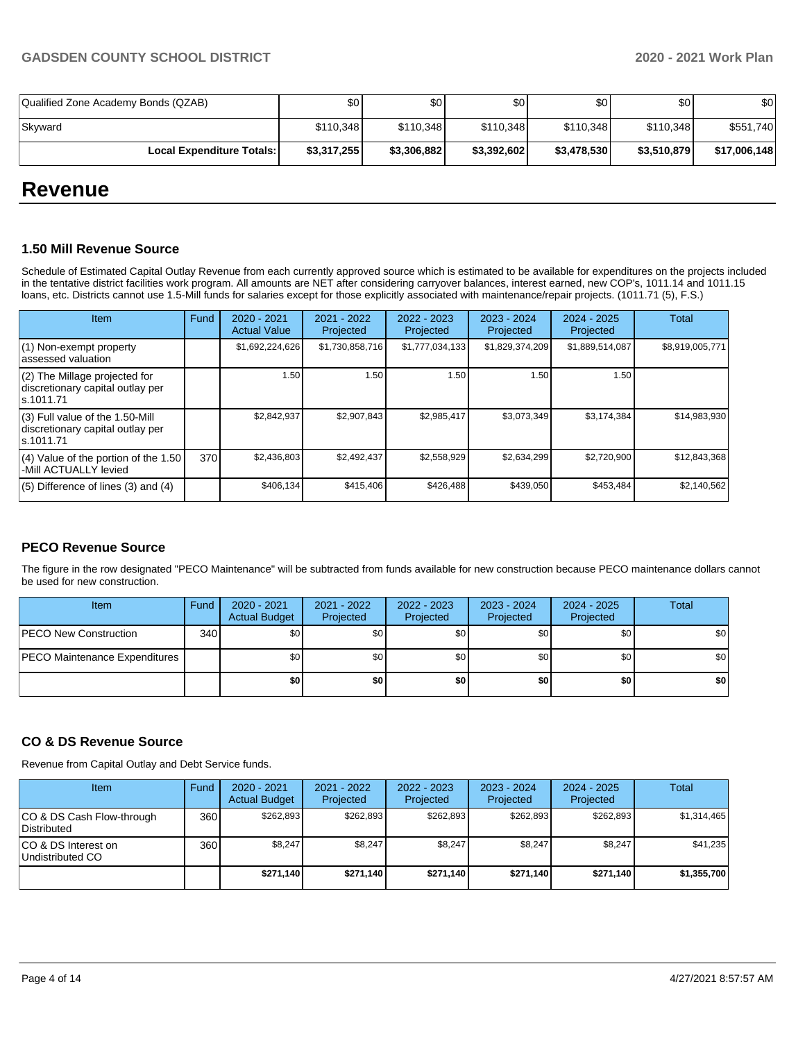| Qualified Zone Academy Bonds (QZAB) | ا 30        | \$0 I       | \$0         | \$0         | \$0         | \$0          |
|-------------------------------------|-------------|-------------|-------------|-------------|-------------|--------------|
| Skyward                             | \$110,348   | \$110.348   | \$110.348   | \$110.348   | \$110.348   | \$551,740    |
| <b>Local Expenditure Totals:</b>    | \$3,317,255 | \$3,306,882 | \$3,392,602 | \$3,478,530 | \$3,510,879 | \$17,006,148 |

## **Revenue**

#### **1.50 Mill Revenue Source**

Schedule of Estimated Capital Outlay Revenue from each currently approved source which is estimated to be available for expenditures on the projects included in the tentative district facilities work program. All amounts are NET after considering carryover balances, interest earned, new COP's, 1011.14 and 1011.15 loans, etc. Districts cannot use 1.5-Mill funds for salaries except for those explicitly associated with maintenance/repair projects. (1011.71 (5), F.S.)

| Item                                                                                | Fund | $2020 - 2021$<br><b>Actual Value</b> | $2021 - 2022$<br>Projected | 2022 - 2023<br>Projected | $2023 - 2024$<br>Projected | $2024 - 2025$<br>Projected | Total           |
|-------------------------------------------------------------------------------------|------|--------------------------------------|----------------------------|--------------------------|----------------------------|----------------------------|-----------------|
| $(1)$ Non-exempt property<br>lassessed valuation                                    |      | \$1,692,224,626                      | \$1,730,858,716            | \$1,777,034,133          | \$1,829,374,209            | \$1,889,514,087            | \$8,919,005,771 |
| (2) The Millage projected for<br>discretionary capital outlay per<br>ls.1011.71     |      | 1.50                                 | 1.50                       | .50                      | 1.50                       | 1.50                       |                 |
| $(3)$ Full value of the 1.50-Mill<br>discretionary capital outlay per<br>ls.1011.71 |      | \$2.842.937                          | \$2,907,843                | \$2,985,417              | \$3,073,349                | \$3,174,384                | \$14,983,930    |
| $(4)$ Value of the portion of the 1.50<br>-Mill ACTUALLY levied                     | 370  | \$2,436,803                          | \$2,492,437                | \$2,558,929              | \$2,634,299                | \$2,720,900                | \$12,843,368    |
| $(5)$ Difference of lines $(3)$ and $(4)$                                           |      | \$406,134                            | \$415,406                  | \$426.488                | \$439.050                  | \$453,484                  | \$2,140,562     |

#### **PECO Revenue Source**

The figure in the row designated "PECO Maintenance" will be subtracted from funds available for new construction because PECO maintenance dollars cannot be used for new construction.

| Item                          | Fund | 2020 - 2021<br><b>Actual Budget</b> | 2021 - 2022<br>Projected | 2022 - 2023<br>Projected | 2023 - 2024<br>Projected | 2024 - 2025<br>Projected | Total            |
|-------------------------------|------|-------------------------------------|--------------------------|--------------------------|--------------------------|--------------------------|------------------|
| <b>PECO New Construction</b>  | 340  | \$0                                 | \$0                      | \$0                      | \$0                      | \$0                      | \$0              |
| PECO Maintenance Expenditures |      | \$0                                 | \$0                      | \$0                      | \$01                     | \$0                      | \$0 <sub>1</sub> |
|                               |      | \$0                                 | \$0                      | \$0                      | \$0                      | \$0                      | \$0              |

#### **CO & DS Revenue Source**

Revenue from Capital Outlay and Debt Service funds.

| Item                                      | Fund | $2020 - 2021$<br><b>Actual Budget</b> | $2021 - 2022$<br>Projected | $2022 - 2023$<br>Projected | $2023 - 2024$<br>Projected | $2024 - 2025$<br>Projected | Total       |
|-------------------------------------------|------|---------------------------------------|----------------------------|----------------------------|----------------------------|----------------------------|-------------|
| ICO & DS Cash Flow-through<br>Distributed | 360  | \$262.893                             | \$262.893                  | \$262,893                  | \$262.893                  | \$262.893                  | \$1,314,465 |
| ICO & DS Interest on<br>Undistributed CO  | 360  | \$8.247                               | \$8.247                    | \$8,247                    | \$8.247                    | \$8,247                    | \$41,235    |
|                                           |      | \$271.140                             | \$271,140                  | \$271.140                  | \$271.140                  | \$271,140                  | \$1,355,700 |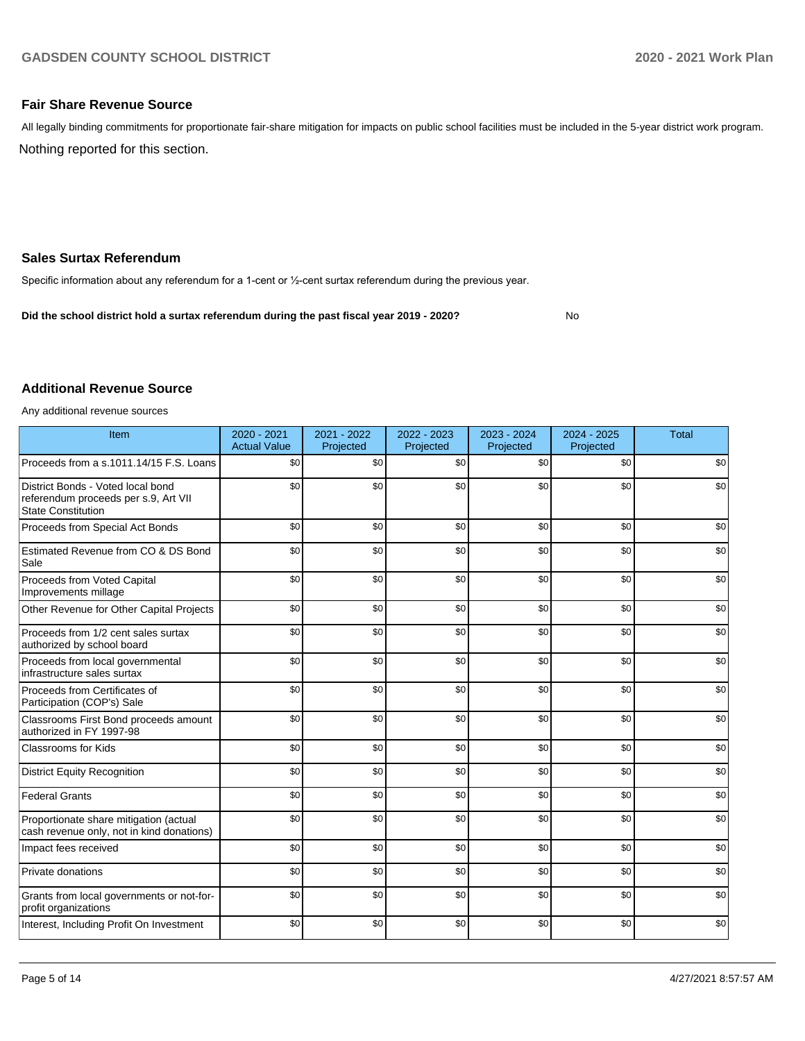No

#### **Fair Share Revenue Source**

Nothing reported for this section. All legally binding commitments for proportionate fair-share mitigation for impacts on public school facilities must be included in the 5-year district work program.

#### **Sales Surtax Referendum**

Specific information about any referendum for a 1-cent or ½-cent surtax referendum during the previous year.

**Did the school district hold a surtax referendum during the past fiscal year 2019 - 2020?**

#### **Additional Revenue Source**

Any additional revenue sources

| Item                                                                                                   | $2020 - 2021$<br><b>Actual Value</b> | 2021 - 2022<br>Projected | 2022 - 2023<br>Projected | 2023 - 2024<br>Projected | $2024 - 2025$<br>Projected | <b>Total</b> |
|--------------------------------------------------------------------------------------------------------|--------------------------------------|--------------------------|--------------------------|--------------------------|----------------------------|--------------|
| Proceeds from a s.1011.14/15 F.S. Loans                                                                | \$0                                  | \$0                      | \$0                      | \$0                      | \$0                        | \$0          |
| District Bonds - Voted local bond<br>referendum proceeds per s.9, Art VII<br><b>State Constitution</b> | \$0                                  | \$0                      | \$0                      | \$0                      | \$0                        | \$0          |
| Proceeds from Special Act Bonds                                                                        | \$0                                  | \$0                      | \$0                      | \$0                      | \$0                        | \$0          |
| Estimated Revenue from CO & DS Bond<br>Sale                                                            | \$0                                  | \$0                      | \$0                      | \$0                      | \$0                        | \$0          |
| Proceeds from Voted Capital<br>Improvements millage                                                    | \$0                                  | \$0                      | \$0                      | \$0                      | \$0                        | \$0          |
| Other Revenue for Other Capital Projects                                                               | \$0                                  | \$0                      | \$0                      | \$0                      | \$0                        | \$0          |
| Proceeds from 1/2 cent sales surtax<br>authorized by school board                                      | \$0                                  | \$0                      | \$0                      | \$0                      | \$0                        | \$0          |
| Proceeds from local governmental<br>infrastructure sales surtax                                        | \$0                                  | \$0                      | \$0                      | \$0                      | \$0                        | \$0          |
| Proceeds from Certificates of<br>Participation (COP's) Sale                                            | \$0                                  | \$0                      | \$0                      | \$0                      | \$0                        | \$0          |
| Classrooms First Bond proceeds amount<br>authorized in FY 1997-98                                      | \$0                                  | \$0                      | \$0                      | \$0                      | \$0                        | \$0          |
| <b>Classrooms for Kids</b>                                                                             | \$0                                  | \$0                      | \$0                      | \$0                      | \$0                        | \$0          |
| <b>District Equity Recognition</b>                                                                     | \$0                                  | \$0                      | \$0                      | \$0                      | \$0                        | \$0          |
| <b>Federal Grants</b>                                                                                  | \$0                                  | \$0                      | \$0                      | \$0                      | \$0                        | \$0          |
| Proportionate share mitigation (actual<br>cash revenue only, not in kind donations)                    | \$0                                  | \$0                      | \$0                      | \$0                      | \$0                        | \$0          |
| Impact fees received                                                                                   | \$0                                  | \$0                      | \$0                      | \$0                      | \$0                        | \$0          |
| Private donations                                                                                      | \$0                                  | \$0                      | \$0                      | \$0                      | \$0                        | \$0          |
| Grants from local governments or not-for-<br>profit organizations                                      | \$0                                  | \$0                      | \$0                      | \$0                      | \$0                        | \$0          |
| Interest, Including Profit On Investment                                                               | \$0                                  | \$0                      | \$0                      | \$0                      | \$0                        | \$0          |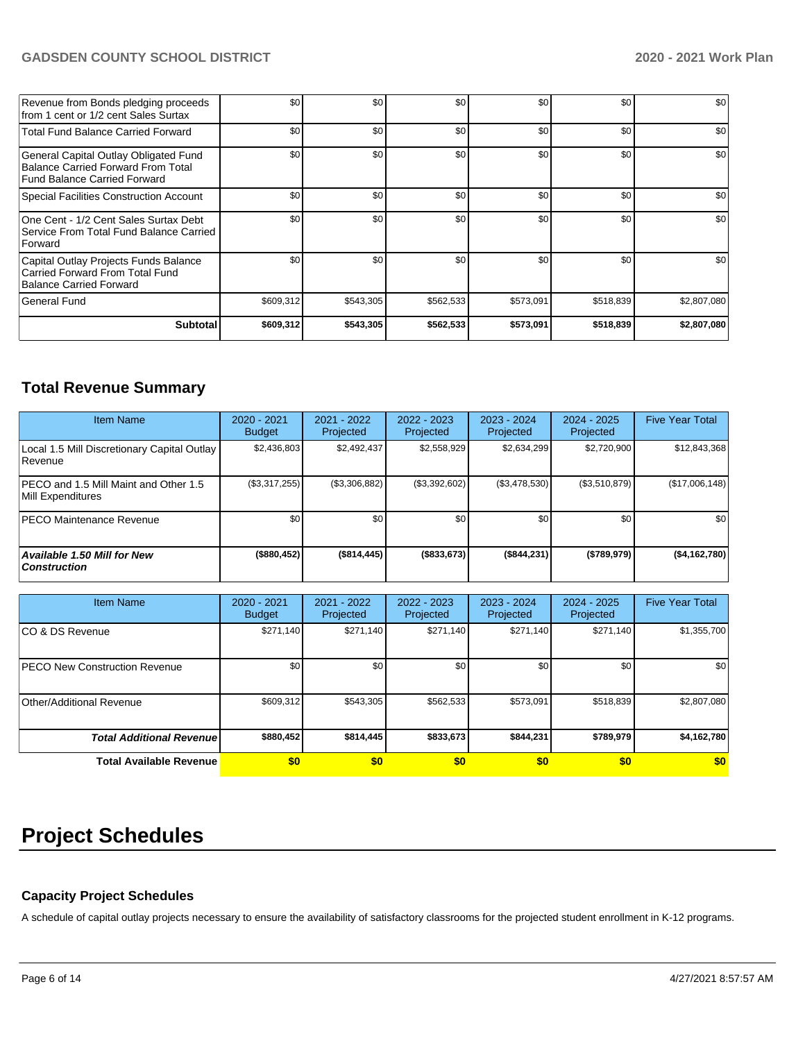### **GADSDEN COUNTY SCHOOL DISTRICT 2020 - 2021 Work Plan**

| <b>Subtotal</b>                                                                                             | \$609,312 | \$543,305 | \$562,533 | \$573,091 | \$518,839 | \$2,807,080 |
|-------------------------------------------------------------------------------------------------------------|-----------|-----------|-----------|-----------|-----------|-------------|
| l General Fund                                                                                              | \$609,312 | \$543,305 | \$562,533 | \$573,091 | \$518,839 | \$2,807,080 |
| Capital Outlay Projects Funds Balance<br>Carried Forward From Total Fund<br><b>Balance Carried Forward</b>  | \$0       | \$0       | \$0       | \$0       | \$0       | \$0         |
| One Cent - 1/2 Cent Sales Surtax Debt<br>Service From Total Fund Balance Carried<br>Forward                 | \$0       | \$0       | \$0       | \$0       | \$0       | \$0         |
| Special Facilities Construction Account                                                                     | \$0       | \$0       | \$0       | \$0       | \$0       | \$0         |
| General Capital Outlay Obligated Fund<br>Balance Carried Forward From Total<br>Fund Balance Carried Forward | \$0       | \$0       | \$0       | \$0       | \$0       | \$0         |
| <b>Total Fund Balance Carried Forward</b>                                                                   | \$0       | \$0       | \$0       | \$0       | \$0       | \$0         |
| Revenue from Bonds pledging proceeds<br>from 1 cent or 1/2 cent Sales Surtax                                | \$0       | \$0       | \$0       | \$0       | \$0       | \$0         |

## **Total Revenue Summary**

| <b>Item Name</b>                                           | $2020 - 2021$<br><b>Budget</b> | $2021 - 2022$<br>Projected | 2022 - 2023<br>Projected | 2023 - 2024<br>Projected | $2024 - 2025$<br>Projected | <b>Five Year Total</b> |
|------------------------------------------------------------|--------------------------------|----------------------------|--------------------------|--------------------------|----------------------------|------------------------|
| Local 1.5 Mill Discretionary Capital Outlay<br>Revenue     | \$2.436.803                    | \$2.492.437                | \$2,558,929              | \$2,634,299              | \$2,720,900                | \$12,843,368           |
| PECO and 1.5 Mill Maint and Other 1.5<br>Mill Expenditures | (\$3,317,255)                  | (\$3,306,882)              | (\$3,392,602)            | (\$3,478,530)            | (\$3,510,879)              | (\$17,006,148)         |
| <b>PECO Maintenance Revenue</b>                            | \$0 <sub>1</sub>               | \$0 <sub>1</sub>           | \$0                      | \$0                      | \$0                        | \$0                    |
| Available 1.50 Mill for New<br>  Construction              | (\$880,452)                    | (\$814,445)                | (\$833,673)              | (\$844,231)              | (\$789,979)                | ( \$4,162,780]         |

| <b>Item Name</b>                      | 2020 - 2021<br><b>Budget</b> | 2021 - 2022<br>Projected | 2022 - 2023<br>Projected | 2023 - 2024<br>Projected | 2024 - 2025<br>Projected | <b>Five Year Total</b> |
|---------------------------------------|------------------------------|--------------------------|--------------------------|--------------------------|--------------------------|------------------------|
| ICO & DS Revenue                      | \$271,140                    | \$271,140                | \$271,140                | \$271,140                | \$271,140                | \$1,355,700            |
| <b>IPECO New Construction Revenue</b> | \$0                          | \$0 <sub>1</sub>         | \$0                      | \$0                      | \$0                      | \$0                    |
| Other/Additional Revenue              | \$609,312                    | \$543,305                | \$562,533                | \$573,091                | \$518,839                | \$2,807,080            |
| <b>Total Additional Revenuel</b>      | \$880,452                    | \$814,445                | \$833,673                | \$844,231                | \$789,979                | \$4,162,780            |
| <b>Total Available Revenue</b>        | \$0                          | \$0                      | \$0                      | \$0                      | \$0                      | \$0                    |

# **Project Schedules**

#### **Capacity Project Schedules**

A schedule of capital outlay projects necessary to ensure the availability of satisfactory classrooms for the projected student enrollment in K-12 programs.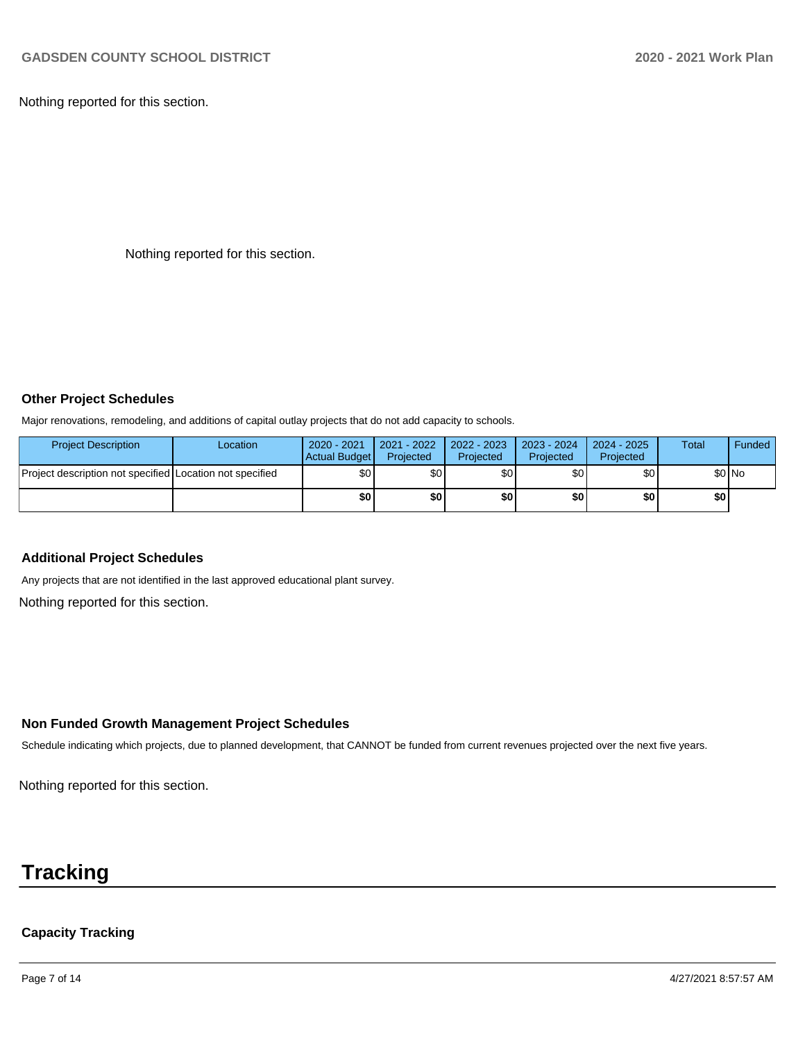Nothing reported for this section.

Nothing reported for this section.

#### **Other Project Schedules**

Major renovations, remodeling, and additions of capital outlay projects that do not add capacity to schools.

| <b>Project Description</b>                               | Location | $2020 - 2021$<br>Actual Budget | 2021 - 2022<br>Projected | 2022 - 2023<br>Projected | $2023 - 2024$<br>Projected | 2024 - 2025<br>Projected | <b>Total</b> | Funded |
|----------------------------------------------------------|----------|--------------------------------|--------------------------|--------------------------|----------------------------|--------------------------|--------------|--------|
| Project description not specified Location not specified |          | \$0                            | \$0                      | \$0                      | \$0 I                      | \$0                      |              | \$0 No |
|                                                          |          | \$0                            | \$0                      | \$0                      | \$0 I                      | \$0                      | \$OI         |        |

#### **Additional Project Schedules**

Any projects that are not identified in the last approved educational plant survey.

Nothing reported for this section.

#### **Non Funded Growth Management Project Schedules**

Schedule indicating which projects, due to planned development, that CANNOT be funded from current revenues projected over the next five years.

Nothing reported for this section.

# **Tracking**

### **Capacity Tracking**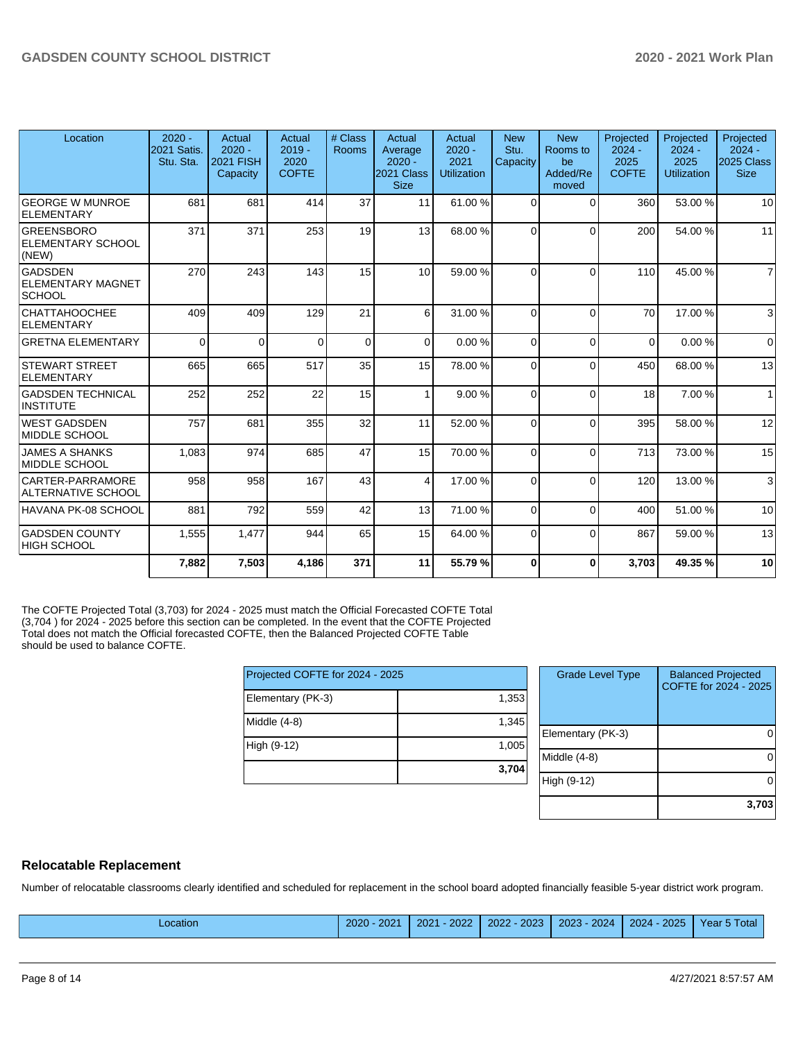| Location                                                     | $2020 -$<br>2021 Satis.<br>Stu. Sta. | Actual<br>$2020 -$<br><b>2021 FISH</b><br>Capacity | Actual<br>$2019 -$<br>2020<br><b>COFTE</b> | # Class<br>Rooms | Actual<br>Average<br>$2020 -$<br>2021 Class<br><b>Size</b> | Actual<br>$2020 -$<br>2021<br><b>Utilization</b> | <b>New</b><br>Stu.<br>Capacity | <b>New</b><br>Rooms to<br>be<br>Added/Re<br>moved | Projected<br>$2024 -$<br>2025<br><b>COFTE</b> | Projected<br>$2024 -$<br>2025<br><b>Utilization</b> | Projected<br>$2024 -$<br><b>2025 Class</b><br><b>Size</b> |
|--------------------------------------------------------------|--------------------------------------|----------------------------------------------------|--------------------------------------------|------------------|------------------------------------------------------------|--------------------------------------------------|--------------------------------|---------------------------------------------------|-----------------------------------------------|-----------------------------------------------------|-----------------------------------------------------------|
| <b>GEORGE W MUNROE</b><br>ELEMENTARY                         | 681                                  | 681                                                | 414                                        | 37               | 11                                                         | 61.00%                                           | 0                              | $\Omega$                                          | 360                                           | 53.00 %                                             | 10                                                        |
| <b>GREENSBORO</b><br><b>ELEMENTARY SCHOOL</b><br>(NEW)       | 371                                  | 371                                                | 253                                        | 19               | 13                                                         | 68.00 %                                          | $\Omega$                       | $\Omega$                                          | 200                                           | 54.00 %                                             | 11                                                        |
| <b>GADSDEN</b><br><b>IELEMENTARY MAGNET</b><br><b>SCHOOL</b> | 270                                  | 243                                                | 143                                        | 15               | 10                                                         | 59.00 %                                          | $\Omega$                       | $\Omega$                                          | 110                                           | 45.00 %                                             | $\overline{7}$                                            |
| CHATTAHOOCHEE<br><b>ELEMENTARY</b>                           | 409                                  | 409                                                | 129                                        | 21               | 6                                                          | 31.00 %                                          | $\Omega$                       | $\Omega$                                          | 70                                            | 17.00 %                                             | 3                                                         |
| <b>GRETNA ELEMENTARY</b>                                     | $\Omega$                             | $\Omega$                                           | $\Omega$                                   | $\mathbf 0$      | $\Omega$                                                   | 0.00%                                            | $\Omega$                       | $\Omega$                                          | $\Omega$                                      | 0.00%                                               | $\Omega$                                                  |
| <b>STEWART STREET</b><br>ELEMENTARY                          | 665                                  | 665                                                | 517                                        | 35               | 15                                                         | 78.00 %                                          | $\Omega$                       | $\Omega$                                          | 450                                           | 68.00 %                                             | 13                                                        |
| <b>GADSDEN TECHNICAL</b><br>INSTITUTE                        | 252                                  | 252                                                | 22                                         | 15               | $\mathbf{1}$                                               | 9.00%                                            | $\Omega$                       | $\Omega$                                          | 18                                            | 7.00 %                                              | $\mathbf{1}$                                              |
| <b>WEST GADSDEN</b><br>MIDDLE SCHOOL                         | 757                                  | 681                                                | 355                                        | 32               | 11                                                         | 52.00 %                                          | $\Omega$                       | $\Omega$                                          | 395                                           | 58.00 %                                             | 12                                                        |
| <b>JAMES A SHANKS</b><br>MIDDLE SCHOOL                       | 1,083                                | 974                                                | 685                                        | 47               | 15                                                         | 70.00 %                                          | 0                              | $\Omega$                                          | 713                                           | 73.00 %                                             | 15                                                        |
| CARTER-PARRAMORE<br><b>ALTERNATIVE SCHOOL</b>                | 958                                  | 958                                                | 167                                        | 43               | 4                                                          | 17.00 %                                          | $\Omega$                       | $\Omega$                                          | 120                                           | 13.00 %                                             | 3                                                         |
| HAVANA PK-08 SCHOOL                                          | 881                                  | 792                                                | 559                                        | 42               | 13                                                         | 71.00 %                                          | $\Omega$                       | $\Omega$                                          | 400                                           | 51.00 %                                             | 10                                                        |
| <b>GADSDEN COUNTY</b><br> HIGH SCHOOL                        | 1,555                                | 1,477                                              | 944                                        | 65               | 15                                                         | 64.00 %                                          | 0                              | $\Omega$                                          | 867                                           | 59.00 %                                             | 13                                                        |
|                                                              | 7,882                                | 7,503                                              | 4,186                                      | 371              | 11                                                         | 55.79%                                           | $\bf{0}$                       | $\Omega$                                          | 3,703                                         | 49.35%                                              | 10                                                        |

The COFTE Projected Total (3,703) for 2024 - 2025 must match the Official Forecasted COFTE Total (3,704 ) for 2024 - 2025 before this section can be completed. In the event that the COFTE Projected Total does not match the Official forecasted COFTE, then the Balanced Projected COFTE Table should be used to balance COFTE.

|                                 | 3,704 |
|---------------------------------|-------|
| High (9-12)                     | 1,005 |
| Middle (4-8)                    | 1,345 |
| Elementary (PK-3)               | 1,353 |
| Projected COFTE for 2024 - 2025 |       |

| <b>Grade Level Type</b> | <b>Balanced Projected</b><br>COFTE for 2024 - 2025 |
|-------------------------|----------------------------------------------------|
| Elementary (PK-3)       |                                                    |
| Middle (4-8)            |                                                    |
| High (9-12)             |                                                    |
|                         | 3,703                                              |

#### **Relocatable Replacement**

Number of relocatable classrooms clearly identified and scheduled for replacement in the school board adopted financially feasible 5-year district work program.

| .ocation | poo <sub>n</sub><br>2020<br>202 | 2022<br>2021 | 2023<br>2022 | 2024<br>2023 | 2025<br>2024 | Total<br>$\sim$<br>. |
|----------|---------------------------------|--------------|--------------|--------------|--------------|----------------------|
|----------|---------------------------------|--------------|--------------|--------------|--------------|----------------------|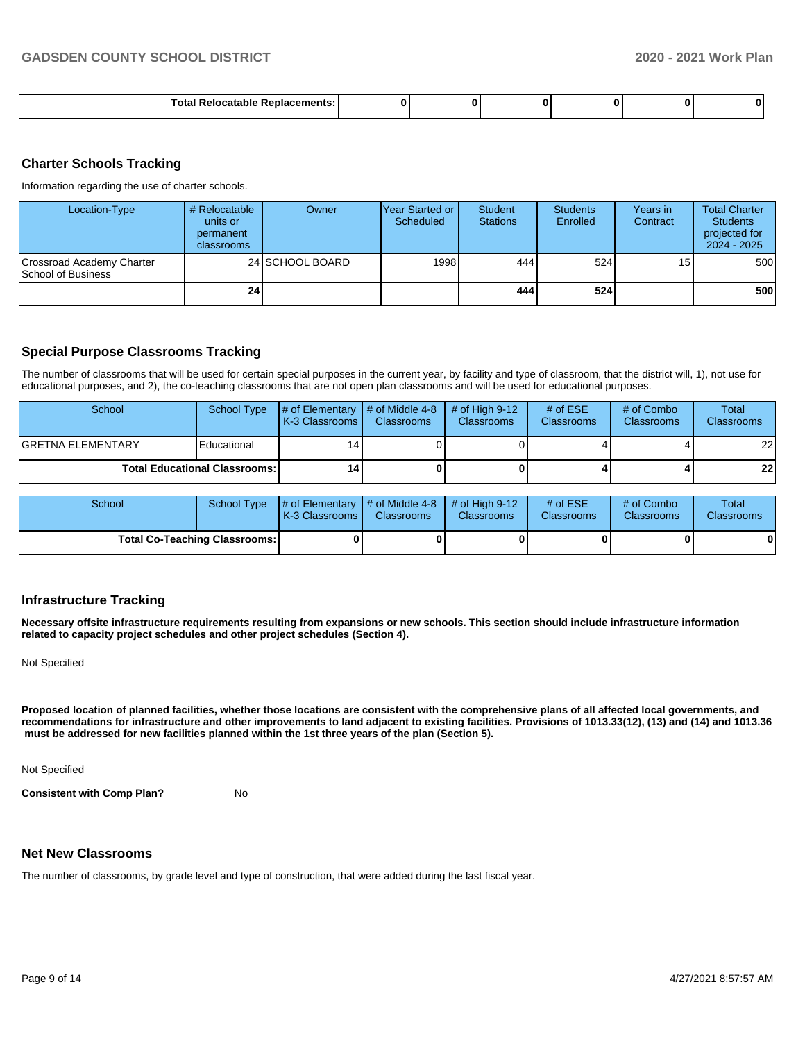| $-1$ |  |  |  |
|------|--|--|--|
|      |  |  |  |

#### **Charter Schools Tracking**

Information regarding the use of charter schools.

| Location-Type                                   | # Relocatable<br>units or<br>permanent<br>classrooms | Owner           | <b>Year Started or</b><br>Scheduled | <b>Student</b><br><b>Stations</b> | <b>Students</b><br>Enrolled | Years in<br>Contract | <b>Total Charter</b><br><b>Students</b><br>projected for<br>$2024 - 2025$ |
|-------------------------------------------------|------------------------------------------------------|-----------------|-------------------------------------|-----------------------------------|-----------------------------|----------------------|---------------------------------------------------------------------------|
| Crossroad Academy Charter<br>School of Business |                                                      | 24 SCHOOL BOARD | 1998                                | 444 I                             | 524                         | 15                   | 500                                                                       |
|                                                 | 24                                                   |                 |                                     | 444                               | 524                         |                      | 500                                                                       |

#### **Special Purpose Classrooms Tracking**

The number of classrooms that will be used for certain special purposes in the current year, by facility and type of classroom, that the district will, 1), not use for educational purposes, and 2), the co-teaching classrooms that are not open plan classrooms and will be used for educational purposes.

| School                    | School Type                            | $\sharp$ of Elementary $\sharp$ of Middle 4-8<br><b>K-3 Classrooms</b> | <b>Classrooms</b> | $\#$ of High 9-12<br><b>Classrooms</b> | # of $ESE$<br><b>Classrooms</b> | # of Combo<br><b>Classrooms</b> | Total<br><b>Classrooms</b> |
|---------------------------|----------------------------------------|------------------------------------------------------------------------|-------------------|----------------------------------------|---------------------------------|---------------------------------|----------------------------|
| <b>IGRETNA ELEMENTARY</b> | Educational                            |                                                                        |                   |                                        |                                 |                                 | 22                         |
|                           | <b>Total Educational Classrooms: I</b> | 14 I                                                                   |                   |                                        |                                 |                                 | 22                         |

| School                               |  | School Type $\left  \frac{1}{2}$ of Elementary $\left  \frac{1}{2}$ of Middle 4-8 $\right $ # of High 9-12<br><b>K-3 Classrooms I</b> | <b>Classrooms</b> | <b>Classrooms</b> | # of $ESE$<br><b>Classrooms</b> | # of Combo<br><b>Classrooms</b> | Total<br><b>Classrooms</b> |
|--------------------------------------|--|---------------------------------------------------------------------------------------------------------------------------------------|-------------------|-------------------|---------------------------------|---------------------------------|----------------------------|
| <b>Total Co-Teaching Classrooms:</b> |  |                                                                                                                                       |                   | 0                 |                                 | 0                               | 0                          |

#### **Infrastructure Tracking**

**Necessary offsite infrastructure requirements resulting from expansions or new schools. This section should include infrastructure information related to capacity project schedules and other project schedules (Section 4).** 

Not Specified

**Proposed location of planned facilities, whether those locations are consistent with the comprehensive plans of all affected local governments, and recommendations for infrastructure and other improvements to land adjacent to existing facilities. Provisions of 1013.33(12), (13) and (14) and 1013.36 must be addressed for new facilities planned within the 1st three years of the plan (Section 5).** 

Not Specified

**Consistent with Comp Plan?** No

#### **Net New Classrooms**

The number of classrooms, by grade level and type of construction, that were added during the last fiscal year.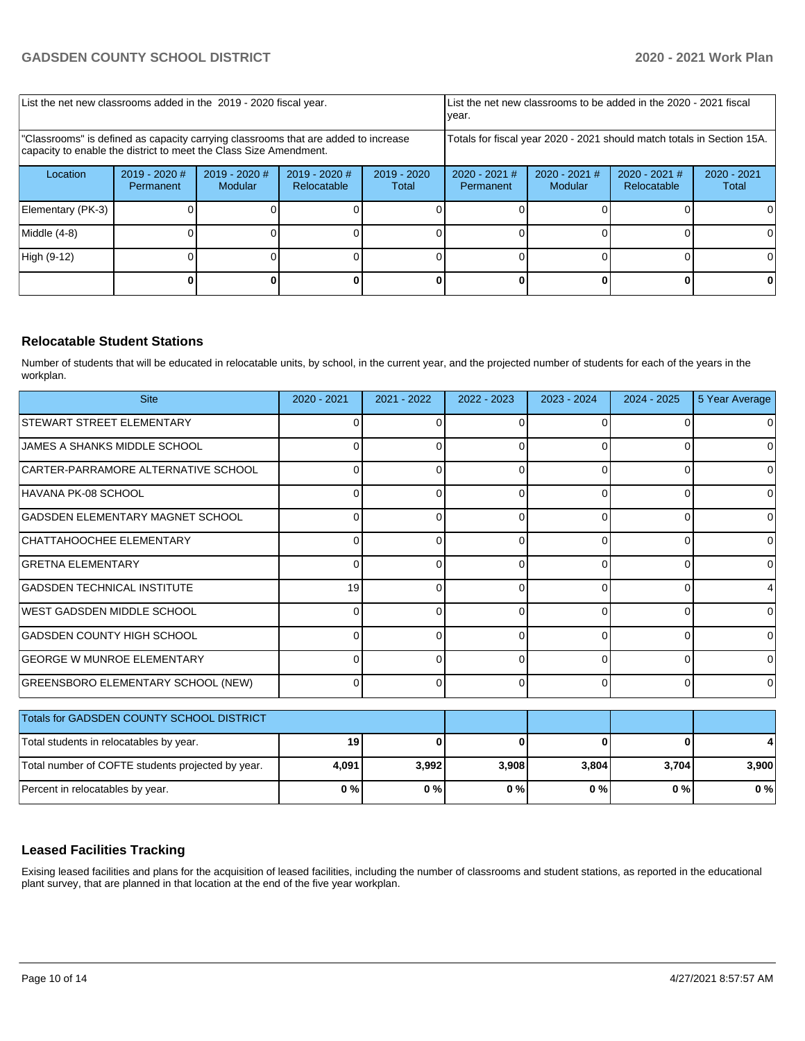| List the net new classrooms added in the 2019 - 2020 fiscal year.                                                                                       | List the net new classrooms to be added in the 2020 - 2021 fiscal<br>year. |                          |                                |                        |                                                                        |                            |                                |                        |
|---------------------------------------------------------------------------------------------------------------------------------------------------------|----------------------------------------------------------------------------|--------------------------|--------------------------------|------------------------|------------------------------------------------------------------------|----------------------------|--------------------------------|------------------------|
| 'Classrooms" is defined as capacity carrying classrooms that are added to increase<br>capacity to enable the district to meet the Class Size Amendment. |                                                                            |                          |                                |                        | Totals for fiscal year 2020 - 2021 should match totals in Section 15A. |                            |                                |                        |
| Location                                                                                                                                                | $2019 - 2020$ #<br>Permanent                                               | 2019 - 2020 #<br>Modular | $2019 - 2020$ #<br>Relocatable | $2019 - 2020$<br>Total | $2020 - 2021$ #<br>Permanent                                           | $2020 - 2021$ #<br>Modular | $2020 - 2021$ #<br>Relocatable | $2020 - 2021$<br>Total |
| Elementary (PK-3)                                                                                                                                       |                                                                            |                          |                                |                        |                                                                        |                            |                                |                        |
| Middle (4-8)                                                                                                                                            |                                                                            |                          |                                |                        |                                                                        |                            |                                |                        |
| High (9-12)                                                                                                                                             |                                                                            |                          |                                |                        |                                                                        |                            |                                | ΩI                     |
|                                                                                                                                                         |                                                                            |                          |                                |                        |                                                                        |                            |                                |                        |

#### **Relocatable Student Stations**

Number of students that will be educated in relocatable units, by school, in the current year, and the projected number of students for each of the years in the workplan.

| <b>Site</b>                                       | 2020 - 2021 | 2021 - 2022 | 2022 - 2023    | 2023 - 2024 | $2024 - 2025$ | 5 Year Average |
|---------------------------------------------------|-------------|-------------|----------------|-------------|---------------|----------------|
| STEWART STREET ELEMENTARY                         | 0           |             | 0              | $\Omega$    |               | 0              |
| JAMES A SHANKS MIDDLE SCHOOL                      | 0           | U           | 0              | $\Omega$    | U             | 0              |
| CARTER-PARRAMORE ALTERNATIVE SCHOOL               | O           |             | $\Omega$       | $\Omega$    | 0             | 0              |
| HAVANA PK-08 SCHOOL                               | O           |             | $\Omega$       | $\Omega$    | U             | $\Omega$       |
| GADSDEN ELEMENTARY MAGNET SCHOOL                  | ŋ           |             | $\Omega$       | C           |               | $\Omega$       |
| CHATTAHOOCHEE ELEMENTARY                          | $\Omega$    | U           | 0              | $\Omega$    | 0             | $\overline{0}$ |
| <b>GRETNA ELEMENTARY</b>                          | 0           | 0           | $\Omega$       | $\Omega$    | 0             | $\Omega$       |
| GADSDEN TECHNICAL INSTITUTE                       | 19          | U           | 0              | $\Omega$    | O             | $\overline{4}$ |
| WEST GADSDEN MIDDLE SCHOOL                        | ŋ           |             | $\Omega$       | $\Omega$    | $\Omega$      | $\Omega$       |
| <b>GADSDEN COUNTY HIGH SCHOOL</b>                 | O           |             | $\Omega$       | $\Omega$    |               | $\Omega$       |
| <b>GEORGE W MUNROE ELEMENTARY</b>                 | $\Omega$    |             | $\Omega$       | $\Omega$    |               | $\Omega$       |
| GREENSBORO ELEMENTARY SCHOOL (NEW)                | 0           | 0           | $\overline{0}$ | $\Omega$    | 0             | $\overline{0}$ |
| Totals for GADSDEN COUNTY SCHOOL DISTRICT         |             |             |                |             |               |                |
| Total students in relocatables by year.           | 19          | ŋ           | $\bf{0}$       | $\Omega$    | $\bf{0}$      |                |
| Total number of COFTE students projected by year. | 4,091       | 3,992       | 3,908          | 3,804       | 3,704         | 3,900          |
| Percent in relocatables by year.                  | 0%          | 0%          | 0%             | $0\%$       | 0%            | 0%             |

#### **Leased Facilities Tracking**

Exising leased facilities and plans for the acquisition of leased facilities, including the number of classrooms and student stations, as reported in the educational plant survey, that are planned in that location at the end of the five year workplan.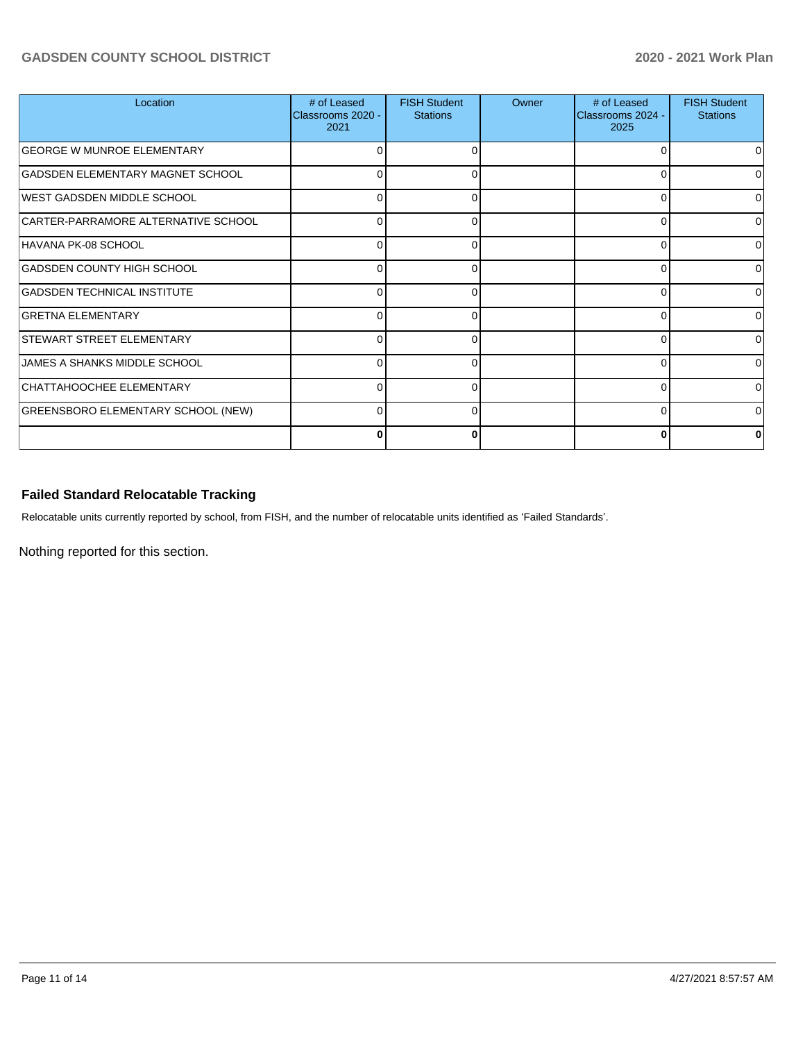#### **GADSDEN COUNTY SCHOOL DISTRICT 2020 - 2021 Work Plan**

| Location                            | # of Leased<br>Classrooms 2020 -<br>2021 | <b>FISH Student</b><br><b>Stations</b> | Owner | # of Leased<br>Classrooms 2024 -<br>2025 | <b>FISH Student</b><br><b>Stations</b> |
|-------------------------------------|------------------------------------------|----------------------------------------|-------|------------------------------------------|----------------------------------------|
| <b>GEORGE W MUNROE ELEMENTARY</b>   |                                          | 0                                      |       |                                          |                                        |
| GADSDEN ELEMENTARY MAGNET SCHOOL    | 0                                        | n                                      |       |                                          |                                        |
| <b>IWEST GADSDEN MIDDLE SCHOOL</b>  | 0                                        | 0                                      |       | 0                                        |                                        |
| CARTER-PARRAMORE ALTERNATIVE SCHOOL | <sup>0</sup>                             | $\Omega$                               |       | ∩                                        | <sup>0</sup>                           |
| HAVANA PK-08 SCHOOL                 | 0                                        | 0                                      |       | ∩                                        | 0                                      |
| <b>GADSDEN COUNTY HIGH SCHOOL</b>   | 0                                        | 0                                      |       | ∩                                        | U                                      |
| <b>GADSDEN TECHNICAL INSTITUTE</b>  | 0                                        | C                                      |       | ∩                                        |                                        |
| <b>GRETNA ELEMENTARY</b>            | 0                                        | ∩                                      |       | ∩                                        |                                        |
| <b>STEWART STREET ELEMENTARY</b>    | 0                                        |                                        |       | $\Omega$                                 |                                        |
| <b>JAMES A SHANKS MIDDLE SCHOOL</b> | 0                                        | 0                                      |       | $\Omega$                                 |                                        |
| CHATTAHOOCHEE ELEMENTARY            |                                          |                                        |       | $\Omega$                                 |                                        |
| GREENSBORO ELEMENTARY SCHOOL (NEW)  | 0                                        | $\Omega$                               |       | $\Omega$                                 |                                        |
|                                     |                                          |                                        |       | 0                                        |                                        |

### **Failed Standard Relocatable Tracking**

Relocatable units currently reported by school, from FISH, and the number of relocatable units identified as 'Failed Standards'.

Nothing reported for this section.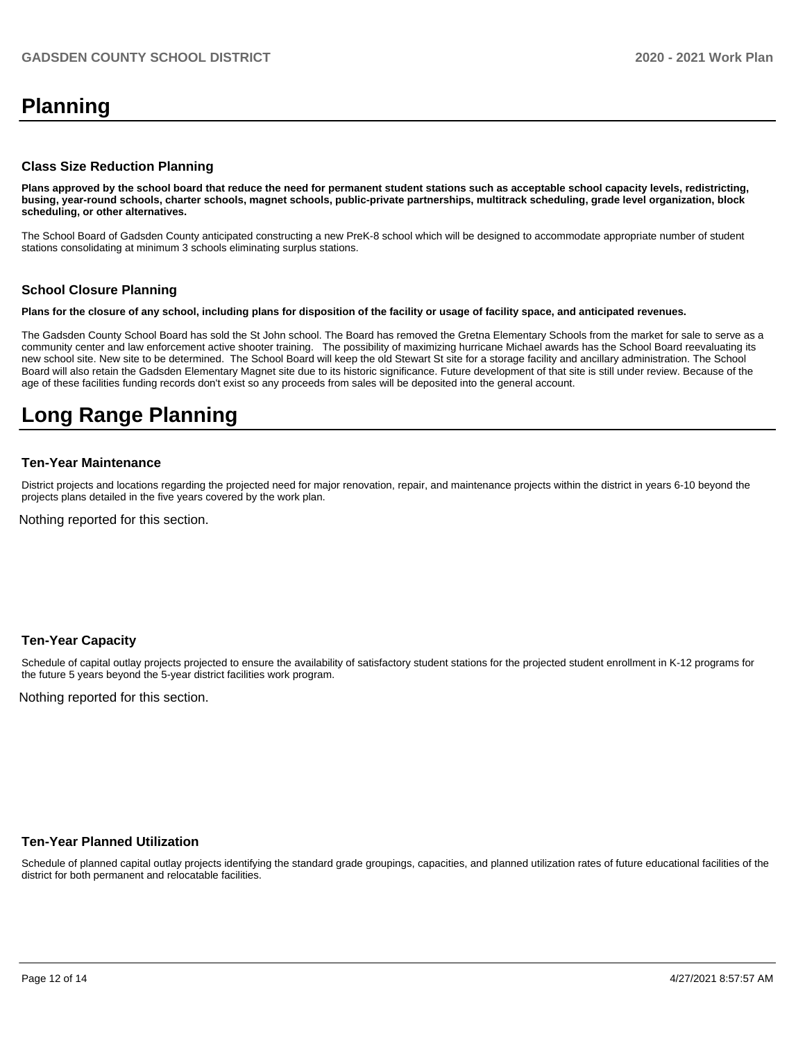## **Planning**

#### **Class Size Reduction Planning**

**Plans approved by the school board that reduce the need for permanent student stations such as acceptable school capacity levels, redistricting, busing, year-round schools, charter schools, magnet schools, public-private partnerships, multitrack scheduling, grade level organization, block scheduling, or other alternatives.**

The School Board of Gadsden County anticipated constructing a new PreK-8 school which will be designed to accommodate appropriate number of student stations consolidating at minimum 3 schools eliminating surplus stations.

#### **School Closure Planning**

**Plans for the closure of any school, including plans for disposition of the facility or usage of facility space, and anticipated revenues.** 

The Gadsden County School Board has sold the St John school. The Board has removed the Gretna Elementary Schools from the market for sale to serve as a community center and law enforcement active shooter training. The possibility of maximizing hurricane Michael awards has the School Board reevaluating its new school site. New site to be determined. The School Board will keep the old Stewart St site for a storage facility and ancillary administration. The School Board will also retain the Gadsden Elementary Magnet site due to its historic significance. Future development of that site is still under review. Because of the age of these facilities funding records don't exist so any proceeds from sales will be deposited into the general account.

## **Long Range Planning**

#### **Ten-Year Maintenance**

District projects and locations regarding the projected need for major renovation, repair, and maintenance projects within the district in years 6-10 beyond the projects plans detailed in the five years covered by the work plan.

Nothing reported for this section.

#### **Ten-Year Capacity**

Schedule of capital outlay projects projected to ensure the availability of satisfactory student stations for the projected student enrollment in K-12 programs for the future 5 years beyond the 5-year district facilities work program.

Nothing reported for this section.

#### **Ten-Year Planned Utilization**

Schedule of planned capital outlay projects identifying the standard grade groupings, capacities, and planned utilization rates of future educational facilities of the district for both permanent and relocatable facilities.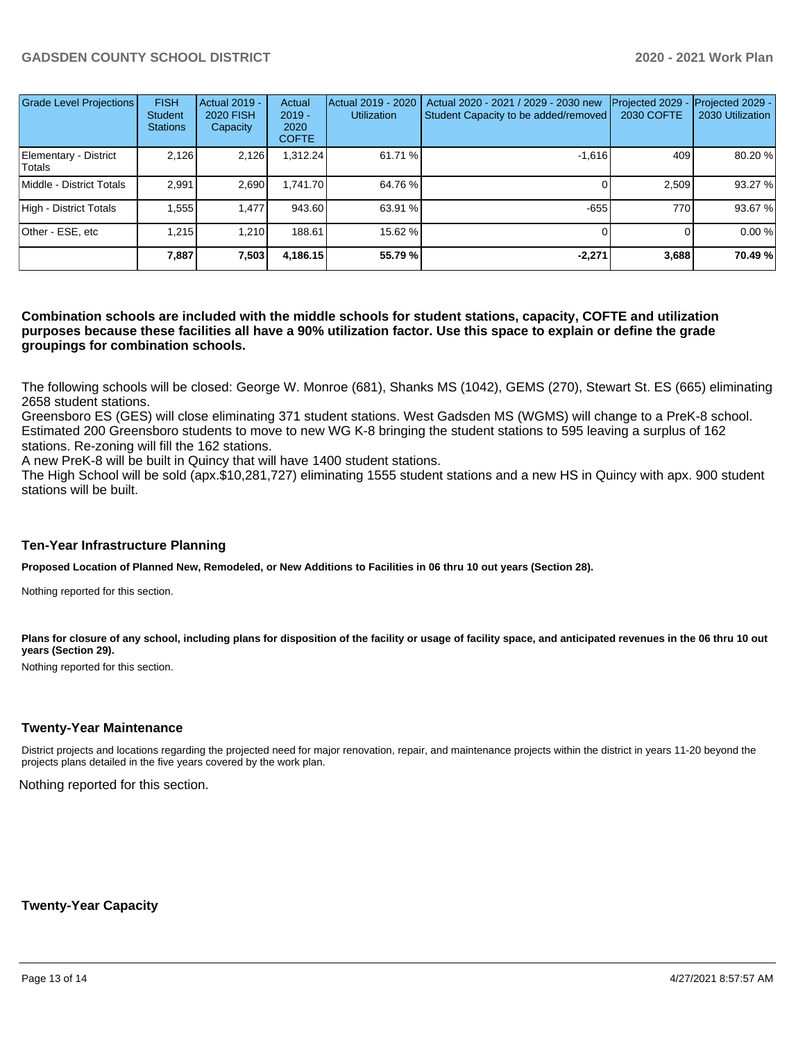| Grade Level Projections         | <b>FISH</b><br><b>Student</b><br><b>Stations</b> | <b>Actual 2019 -</b><br><b>2020 FISH</b><br>Capacity | Actual<br>$2019 -$<br>2020<br><b>COFTE</b> | Actual 2019 - 2020<br><b>Utilization</b> | Actual 2020 - 2021 / 2029 - 2030 new<br>Student Capacity to be added/removed | Projected 2029<br>2030 COFTE | Projected 2029 -<br>2030 Utilization |
|---------------------------------|--------------------------------------------------|------------------------------------------------------|--------------------------------------------|------------------------------------------|------------------------------------------------------------------------------|------------------------------|--------------------------------------|
| Elementary - District<br>Totals | 2,126                                            | 2,126                                                | 1,312.24                                   | 61.71 %                                  | $-1.616$                                                                     | 409                          | 80.20 %                              |
| Middle - District Totals        | 2.991                                            | 2,690                                                | 1.741.70                                   | 64.76 %                                  |                                                                              | 2.509                        | 93.27%                               |
| High - District Totals          | 1,555                                            | 1,477                                                | 943.60                                     | 63.91 %                                  | $-655$                                                                       | 770                          | 93.67 %                              |
| Other - ESE, etc                | 1.215                                            | 1.210                                                | 188.61                                     | 15.62 %                                  |                                                                              |                              | 0.00 %                               |
|                                 | 7.887                                            | 7,503                                                | 4,186.15                                   | 55.79 %                                  | $-2.271$                                                                     | 3,688                        | 70.49 %                              |

#### **Combination schools are included with the middle schools for student stations, capacity, COFTE and utilization purposes because these facilities all have a 90% utilization factor. Use this space to explain or define the grade groupings for combination schools.**

The following schools will be closed: George W. Monroe (681), Shanks MS (1042), GEMS (270), Stewart St. ES (665) eliminating 2658 student stations.

Greensboro ES (GES) will close eliminating 371 student stations. West Gadsden MS (WGMS) will change to a PreK-8 school. Estimated 200 Greensboro students to move to new WG K-8 bringing the student stations to 595 leaving a surplus of 162 stations. Re-zoning will fill the 162 stations.

A new PreK-8 will be built in Quincy that will have 1400 student stations.

The High School will be sold (apx.\$10,281,727) eliminating 1555 student stations and a new HS in Quincy with apx. 900 student stations will be built.

#### **Ten-Year Infrastructure Planning**

**Proposed Location of Planned New, Remodeled, or New Additions to Facilities in 06 thru 10 out years (Section 28).**

Nothing reported for this section.

Plans for closure of any school, including plans for disposition of the facility or usage of facility space, and anticipated revenues in the 06 thru 10 out **years (Section 29).**

Nothing reported for this section.

#### **Twenty-Year Maintenance**

District projects and locations regarding the projected need for major renovation, repair, and maintenance projects within the district in years 11-20 beyond the projects plans detailed in the five years covered by the work plan.

Nothing reported for this section.

**Twenty-Year Capacity**